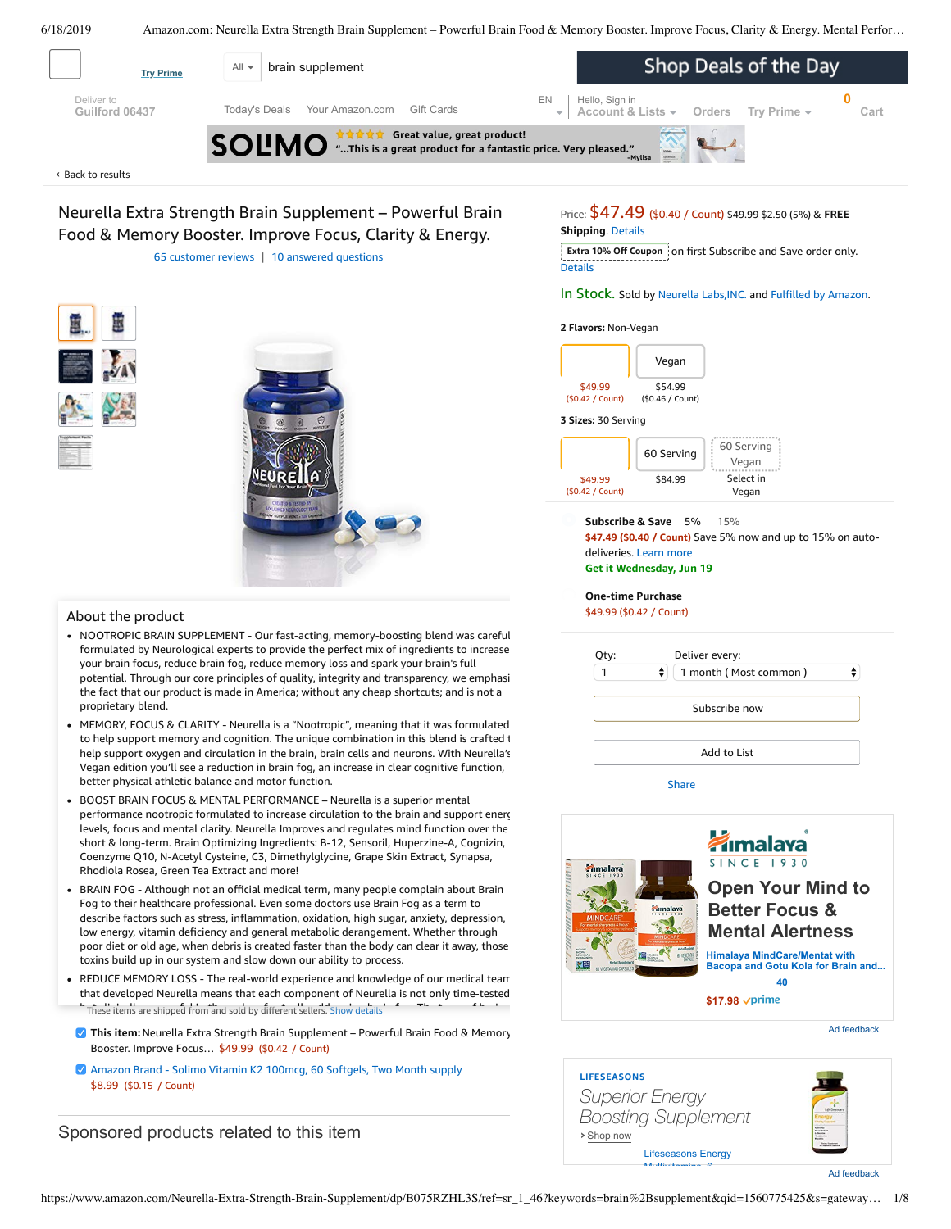<span id="page-0-0"></span>

Back to [results](https://www.amazon.com/s?k=brain+supplement&ref=nb_sb_noss_2) ‹

Neurella Extra Strength Brain Supplement – Powerful Brain Food & Memory Booster. Improve Focus, Clarity & Energy. 65 [customer](#page-3-0) reviews | 10 answered [questions](#page-3-1)

Price: \$47.49 (\$0.40 / Count) \$49.99 \$2.50 (5%) & **FREE Shipping**. [Details](https://www.amazon.com/gp/help/customer/display.html/ref=mk_sss_dp_1/?ie=UTF8&pop-up=1&nodeId=527692)

**Extra 10% Off Coupon** on first Subscribe and Save order only. **Details** 

In Stock. Sold by Neurella [Labs,INC.](https://www.amazon.com/gp/help/seller/at-a-glance.html/ref=dp_merchant_link?ie=UTF8&seller=A1X9J9RI2QZH0H&isAmazonFulfilled=1) and Fulfilled by [Amazon.](https://www.amazon.com/gp/help/customer/display.html?ie=UTF8&ref=dp_fulfillment&nodeId=106096011)



### About the product

- NOOTROPIC BRAIN SUPPLEMENT Our fast-acting, memory-boosting blend was careful formulated by Neurological experts to provide the perfect mix of ingredients to increase your brain focus, reduce brain fog, reduce memory loss and spark your brain's full potential. Through our core principles of quality, integrity and transparency, we emphasi the fact that our product is made in America; without any cheap shortcuts; and is not a proprietary blend.
- MEMORY, FOCUS & CLARITY Neurella is a "Nootropic", meaning that it was formulated to help support memory and cognition. The unique combination in this blend is crafted t help support oxygen and circulation in the brain, brain cells and neurons. With Neurella's Vegan edition you'll see a reduction in brain fog, an increase in clear cognitive function, better physical athletic balance and motor function.
- Frequently bought together Rhodiola Rosea, Green Tea Extract and more! BOOST BRAIN FOCUS & MENTAL [PERFORMANCE](https://www.amazon.com/gp/redirect.html/ref=amb_link_1?_encoding=UTF8&location=https%3A%2F%2Fwww.amazon.com%2Fb%3Fnode%3D17904040011&source=standards&token=BE1FBDC111DBAC62750B07A4AFAFEF6D1A082253&pf_rd_m=ATVPDKIKX0DER&pf_rd_s=product-alert&pf_rd_r=H45T2T56X8D8ETEJ60NK&pf_rd_r=H45T2T56X8D8ETEJ60NK&pf_rd_t=201&pf_rd_p=82fa76b4-9a2f-4417-8a70-702f37d37a30&pf_rd_p=82fa76b4-9a2f-4417-8a70-702f37d37a30&pf_rd_i=B075RZHL3S) – Neurella is a superior mental performance nootropic formulated to increase circulation to the brain and support energ levels, focus and mental clarity. Neurella Improves and regulates mind function over the short & long-term. Brain Optimizing Ingredients: B-12, Sensoril, Huperzine-A, Cognizin, Coenzyme Q10, N-Acetyl Cysteine, C3, Dimethylglycine, Grape Skin Extract, Synapsa,
- tow energy, vitamin denciency and general metabolic derangement. whether through<br>poor diet or old age, when debris is created faster than the body can clear it away, those Total price: \$58.98 Fog to their healthcare professional. Even some doctors use Brain Fog as a term to describe factors such as stress, inflammation, oxidation, high sugar, anxiety, depression, BRAIN FOG - Although not an official medical term, many people complain about Brain low energy, vitamin [deficiency](https://www.amazon.com/Amazon-Brand-Solimo-Vitamin-Softgels/dp/B07CJNJ32N/ref=pd_bxgy_121_img_2/143-6729050-3493109?_encoding=UTF8&pd_rd_i=B07CJNJ32N&pd_rd_r=609b0744-91c8-11e9-87d9-8b31639319cd&pd_rd_w=Z9Riz&pd_rd_wg=6VCPo&pf_rd_p=a2006322-0bc0-4db9-a08e-d168c18ce6f0&pf_rd_r=H45T2T56X8D8ETEJ60NK&psc=1&refRID=H45T2T56X8D8ETEJ60NK) and general metabolic derangement. Whether through toxins build up in our system and slow down our ability to process.
- These items are shipped from and sold by different sellers. [Show details](javascript:void(0)) REDUCE MEMORY LOSS - The real-world experience and knowledge of our medical team that developed Neurella means that each component of Neurella is not only time-tested
- **This item:** Neurella Extra Strength Brain Supplement Powerful Brain Food & Memory Booster. Improve Focus… \$49.99 (\$0.42 / Count)
- Amazon Brand Solimo Vitamin K2 100mcg, 60 [Softgels,](https://www.amazon.com/Amazon-Brand-Solimo-Vitamin-Softgels/dp/B07CJNJ32N/ref=pd_bxgy_121_2/143-6729050-3493109?_encoding=UTF8&pd_rd_i=B07CJNJ32N&pd_rd_r=609b0744-91c8-11e9-87d9-8b31639319cd&pd_rd_w=Z9Riz&pd_rd_wg=6VCPo&pf_rd_p=a2006322-0bc0-4db9-a08e-d168c18ce6f0&pf_rd_r=H45T2T56X8D8ETEJ60NK&psc=1&refRID=H45T2T56X8D8ETEJ60NK) Two Month supply \$8.99 (\$0.15 / Count)

Sponsored products related to this item



**3 Sizes:** 30 Serving

**2 Flavors:** Non-Vegan



**Subscribe & Save \$47.49 (\$0.40 / Count)** Save 5% now and up to 15% on autodeliveries. Learn more **Get it Wednesday, Jun 19** 5% 15%

**One-time Purchase** \$49.99 (\$0.42 / Count)

| ÷<br>1 month (Most common) | ÷ |
|----------------------------|---|
| Subscribe now              |   |
| Add to List                |   |



### **›** Shop now **LIFESEASONS** *Superior Energy Boosting Supplement* [Lifeseasons Energy](https://aax-us-east.amazon-adsystem.com/x/c/QmoTsopmub3ZJ3cr7dBEP_sAAAFraqhDWgEAAAH0AU8IHuc/https://www.amazon.com/dp/B00CKWU05G?ref_=ams_ad_dp_ttl)

Multivitamins 6



Ad feedback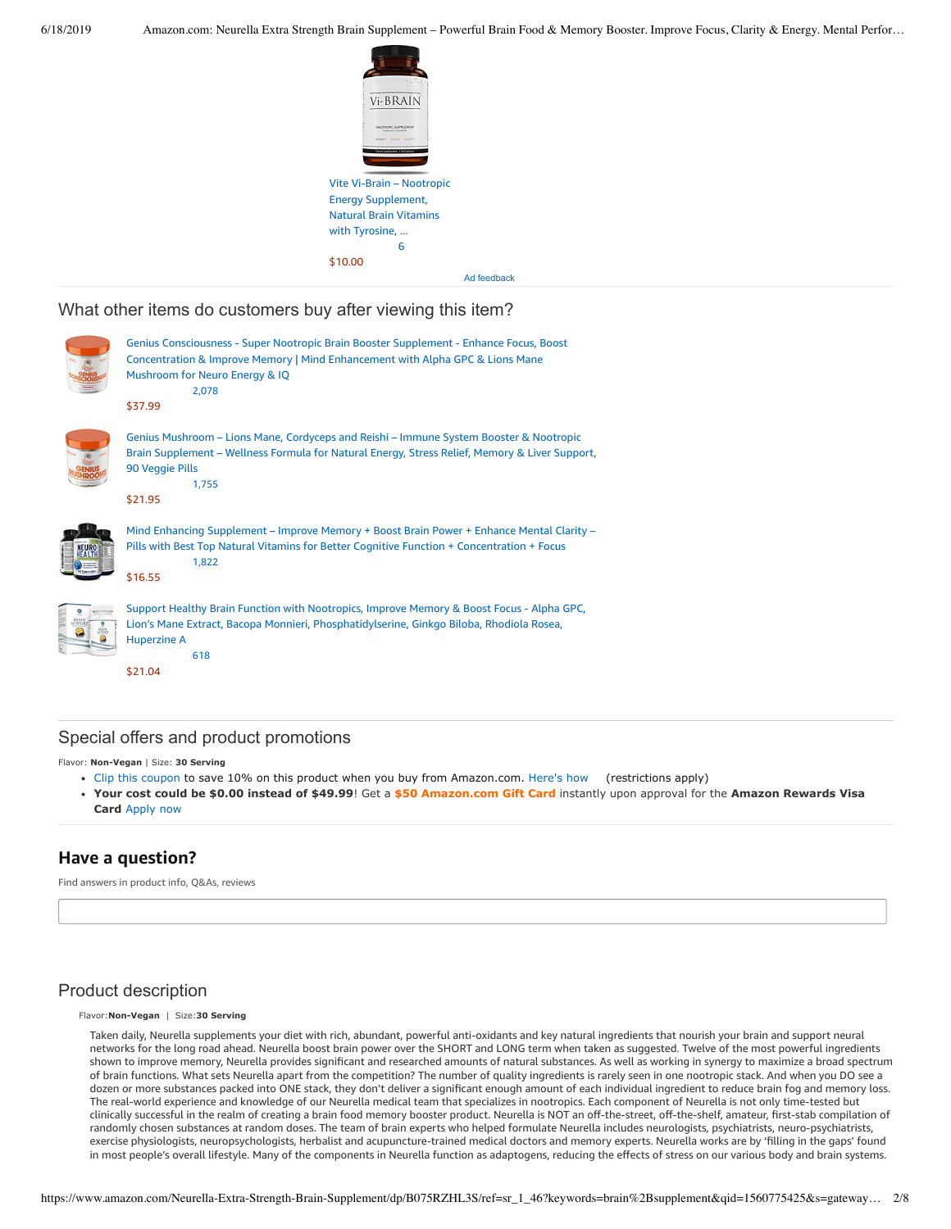

What other items do customers buy after viewing this item?



# Special offers and product promotions

Flavor: Non-Vegan | Size: 30 Serving

- [Clip this coupon](https://www.amazon.com/gp/sign-in.html?ie=UTF8&ref=&email=&redirectASIN=B075RZHL3S&disableCorpSignUp=&path=%2Fgp%2Fcoupon%2Fc%2A8QUEGEBCCLGZFA2KWAJZXU70VKG&redirectProtocol=&mode=&useRedirectOnSuccess=1) to save 10% on this product when you buy from Amazon.com. [Here's how](javascript:void(0))  (restrictions apply)
- **[Your cost could be \\$0.00 instead of \\$49.99](https://www.amazon.com/gp/cobrandcard/marketing.html?pr=con321&inc=50gcUnrec&ts=dwutliumr9mwxm2r6r0bg05wqlf6dxi&dasin=B075RZHL3S&plattr=math&place=detailpage&imp=3b32dda6-114c-4484-8e36-1462775860d5)**! Get a **\$50 Amazon.com Gift Card** instantly upon approval for the **Amazon Rewards Visa Card** Apply now

# **Have a question?**

Find answers in product info, Q&As, reviews

### Product description

#### Flavor:**NonVegan** | Size:**30 Serving**

Taken daily, Neurella supplements your diet with rich, abundant, powerful anti-oxidants and key natural ingredients that nourish your brain and support neural networks for the long road ahead. Neurella boost brain power over the SHORT and LONG term when taken as suggested. Twelve of the most powerful ingredients shown to improve memory, Neurella provides significant and researched amounts of natural substances. As well as working in synergy to maximize a broad spectrum of brain functions. What sets Neurella apart from the competition? The number of quality ingredients is rarely seen in one nootropic stack. And when you DO see a dozen or more substances packed into ONE stack, they don't deliver a significant enough amount of each individual ingredient to reduce brain fog and memory loss. The real-world experience and knowledge of our Neurella medical team that specializes in nootropics. Each component of Neurella is not only time-tested but clinically successful in the realm of creating a brain food memory booster product. Neurella is NOT an off-the-street, off-the-shelf, amateur, first-stab compilation of randomly chosen substances at random doses. The team of brain experts who helped formulate Neurella includes neurologists, psychiatrists, neuro-psychiatrists, exercise physiologists, neuropsychologists, herbalist and acupuncture-trained medical doctors and memory experts. Neurella works are by 'filling in the gaps' found in most people's overall lifestyle. Many of the components in Neurella function as adaptogens, reducing the effects of stress on our various body and brain systems.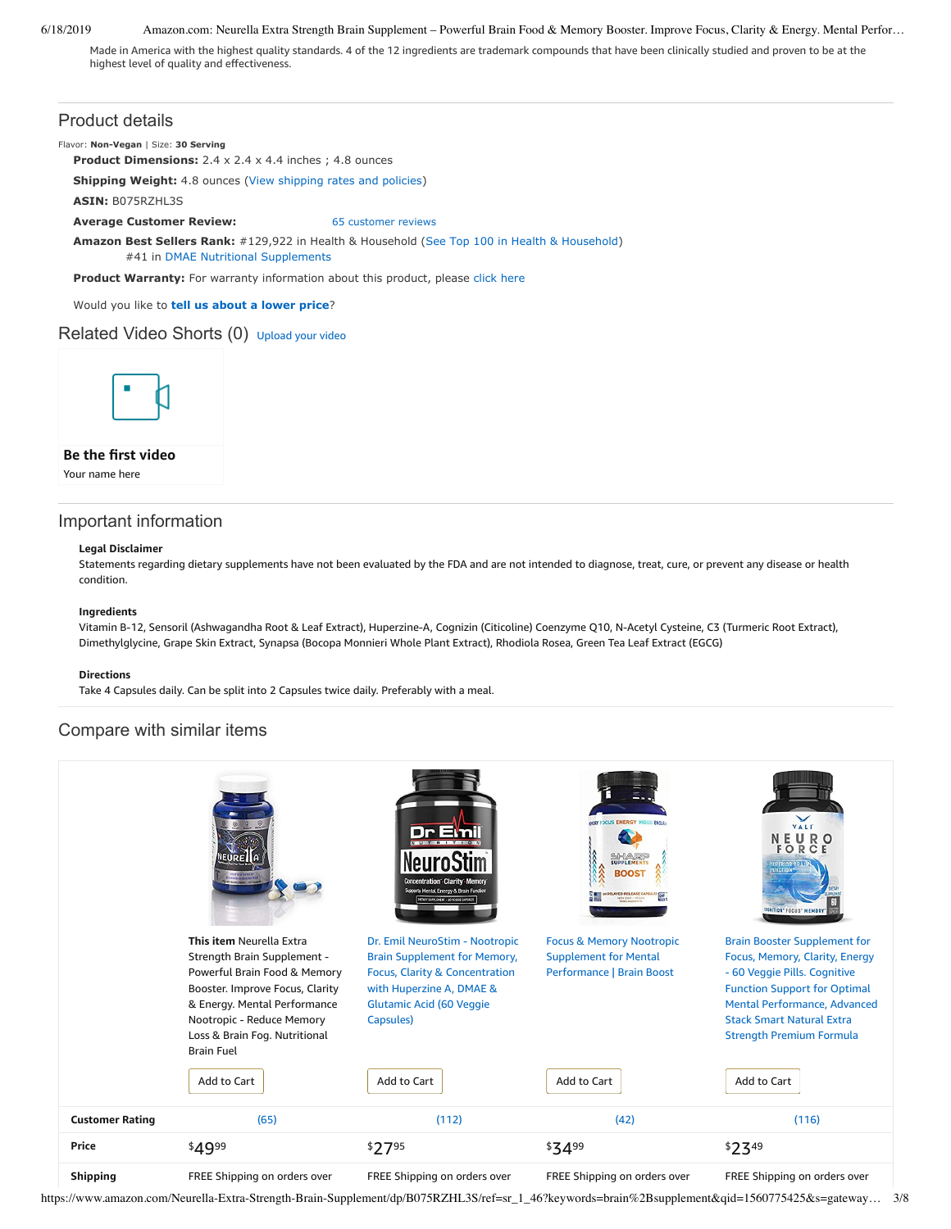Made in America with the highest quality standards. 4 of the 12 ingredients are trademark compounds that have been clinically studied and proven to be at the highest level of quality and effectiveness.

### Product details

Flavor: **Non-Vegan** | Size: 30 Serving

**Product Dimensions:** 2.4 x 2.4 x 4.4 inches ; 4.8 ounces

**Shipping Weight:** 4.8 ounces [\(View shipping rates and policies\)](https://www.amazon.com/gp/help/seller/shipping.html/ref=dp_pd_shipping?ie=UTF8&asin=B075RZHL3S&seller=ATVPDKIKX0DER)

**ASIN:** B075RZHL3S

**Average Customer Review:** [65 customer reviews](https://www.amazon.com/product-reviews/B075RZHL3S/ref=acr_dpproductdetail_text?ie=UTF8&showViewpoints=1)

**Amazon Best Sellers Rank:** #129,922 in Health & Household [\(See Top 100 in Health & Household](https://www.amazon.com/gp/bestsellers/hpc/ref=pd_zg_ts_hpc)) #41 in [DMAE Nutritional Supplements](https://www.amazon.com/gp/bestsellers/hpc/3773461/ref=pd_zg_hrsr_hpc)

Product Warranty: For warranty information about this product, please [click here](https://www.amazon.com/gp/feature.html/ref=dp_warranty_request_3P?ie=UTF8&docId=1002406021)

Would you like to **tell us about a lower price**?

### Related Video Shorts (0) [Upload](https://www.amazon.com/creatorhub/video/upload?productASIN=B075RZHL3S&referringURL=ZHAvQjA3NVJaSEwzUw%3D%3D&ref=RVSW) your video



### **Be the first video**

Your name here

# Important information

### **Legal Disclaimer**

Statements regarding dietary supplements have not been evaluated by the FDA and are not intended to diagnose, treat, cure, or prevent any disease or health condition.

### **Ingredients**

Vitamin B-12, Sensoril (Ashwagandha Root & Leaf Extract), Huperzine-A, Cognizin (Citicoline) Coenzyme Q10, N-Acetyl Cysteine, C3 (Turmeric Root Extract), Dimethylglycine, Grape Skin Extract, Synapsa (Bocopa Monnieri Whole Plant Extract), Rhodiola Rosea, Green Tea Leaf Extract (EGCG)

#### **Directions**

Take 4 Capsules daily. Can be split into 2 Capsules twice daily. Preferably with a meal.

# Compare with similar items



https://www.amazon.com/Neurella-Extra-Strength-Brain-Supplement/dp/B075RZHL3S/ref=sr\_1\_46?keywords=brain%2Bsupplement&qid=1560775425&s=gateway… 3/8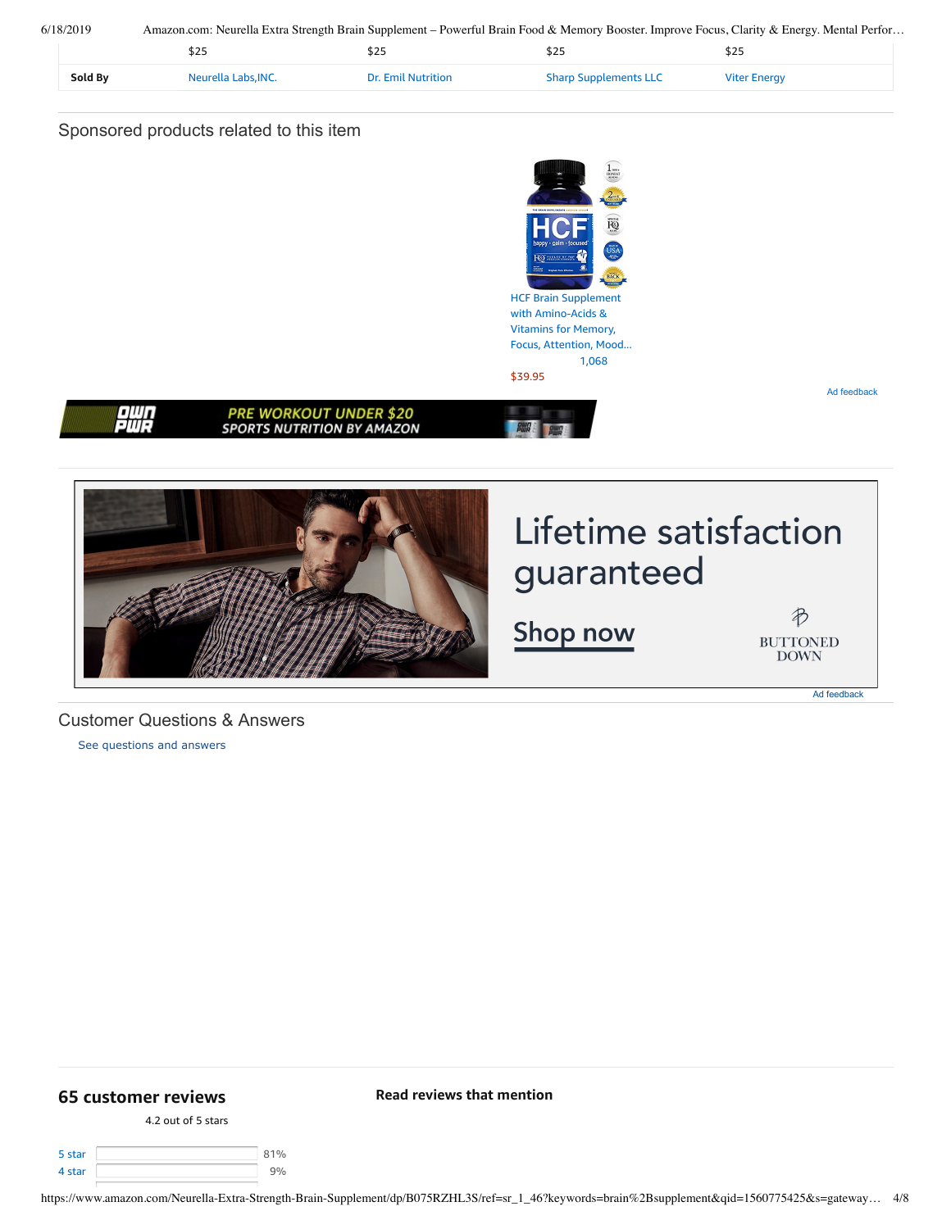| 6/18/2019 |         | Amazon.com: Neurella Extra Strength Brain Supplement – Powerful Brain Food & Memory Booster. Improve Focus, Clarity & Energy. Mental Perfor |                           |                              |                     |  |
|-----------|---------|---------------------------------------------------------------------------------------------------------------------------------------------|---------------------------|------------------------------|---------------------|--|
|           |         |                                                                                                                                             | 525                       | \$25                         | \$25                |  |
|           | Sold By | Neurella Labs.INC.                                                                                                                          | <b>Dr. Emil Nutrition</b> | <b>Sharp Supplements LLC</b> | <b>Viter Energy</b> |  |

# Sponsored products related to this item



# <span id="page-3-1"></span>Customer Questions & Answers

[See questions and answers](https://www.amazon.com/ask/questions/asin/B075RZHL3S/ref=cm_cd_dp_lla_ql_ll)

# <span id="page-3-0"></span>**[65 customer](https://www.amazon.com/Neurella-Extra-Strength-Brain-Supplement/product-reviews/B075RZHL3S/ref=cm_cr_dp_d_show_all_top?ie=UTF8&reviewerType=all_reviews) reviews**

4.2 out of 5 [stars](javascript:void(0))

| 5 star | 10/2 |
|--------|------|
| 4 star |      |

**Read reviews that mention**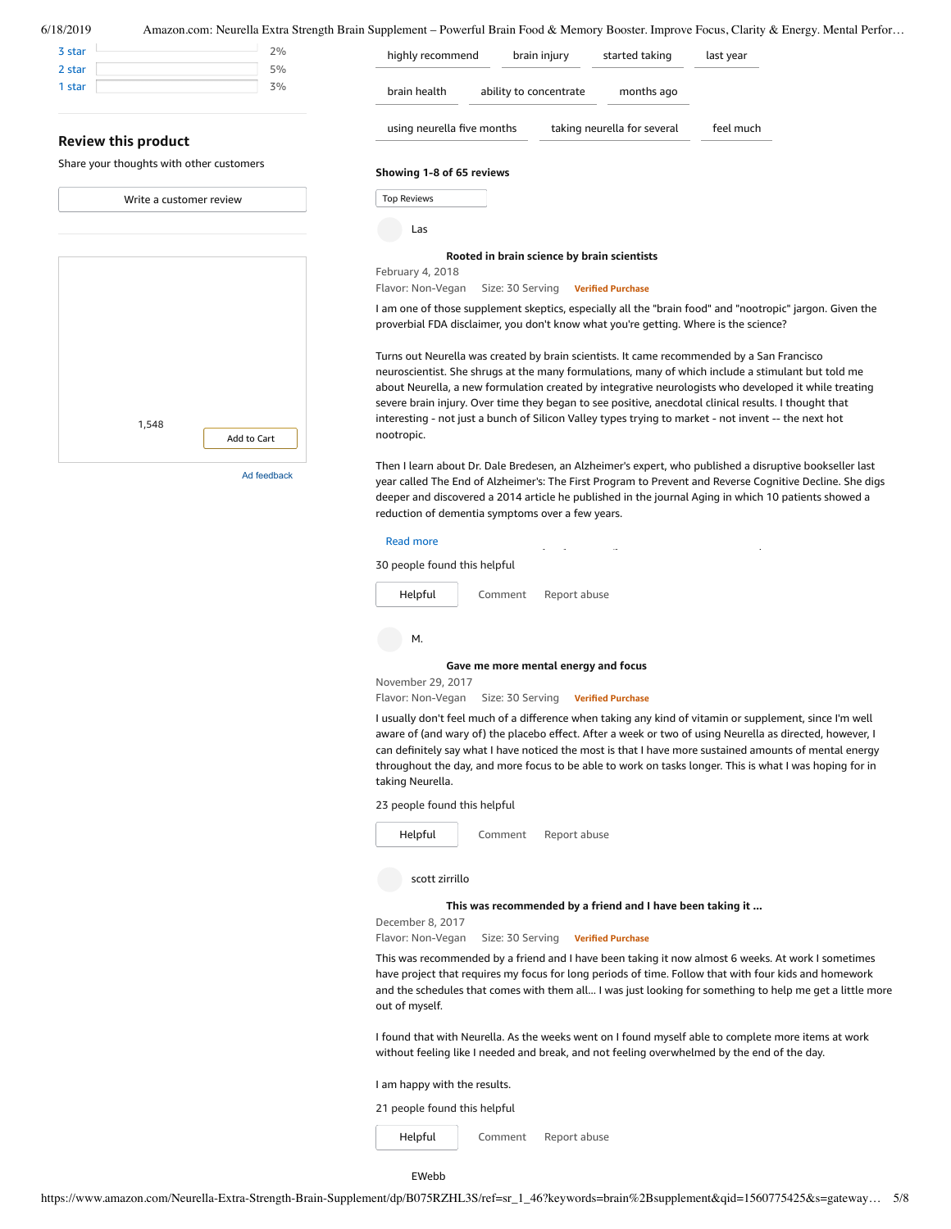| 5% |
|----|
| 3% |
|    |

#### **Review this product**

Share your thoughts with other customers

| Write a customer review |             |  |  |
|-------------------------|-------------|--|--|
|                         |             |  |  |
|                         |             |  |  |
|                         |             |  |  |
|                         |             |  |  |
|                         |             |  |  |
|                         |             |  |  |
|                         |             |  |  |
| 1,548                   | Add to Cart |  |  |
|                         |             |  |  |

Ad feedback

highly [recommend](https://www.amazon.com/Neurella-Extra-Strength-Brain-Supplement/product-reviews/B075RZHL3S/ref=cm_cr_dp_d_lh_0?ie=UTF8&filterByKeyword=highly+recommend&pageNumber=1&reviewerType=all_reviews#reviews-filter-bar) brain [injury](https://www.amazon.com/Neurella-Extra-Strength-Brain-Supplement/product-reviews/B075RZHL3S/ref=cm_cr_dp_d_lh_1?ie=UTF8&filterByKeyword=brain+injury&pageNumber=1&reviewerType=all_reviews#reviews-filter-bar) [started](https://www.amazon.com/Neurella-Extra-Strength-Brain-Supplement/product-reviews/B075RZHL3S/ref=cm_cr_dp_d_lh_2?ie=UTF8&filterByKeyword=started+taking&pageNumber=1&reviewerType=all_reviews#reviews-filter-bar) taking last [year](https://www.amazon.com/Neurella-Extra-Strength-Brain-Supplement/product-reviews/B075RZHL3S/ref=cm_cr_dp_d_lh_3?ie=UTF8&filterByKeyword=last+year&pageNumber=1&reviewerType=all_reviews#reviews-filter-bar) brain [health](https://www.amazon.com/Neurella-Extra-Strength-Brain-Supplement/product-reviews/B075RZHL3S/ref=cm_cr_dp_d_lh_4?ie=UTF8&filterByKeyword=brain+health&pageNumber=1&reviewerType=all_reviews#reviews-filter-bar) ability to [concentrate](https://www.amazon.com/Neurella-Extra-Strength-Brain-Supplement/product-reviews/B075RZHL3S/ref=cm_cr_dp_d_lh_5?ie=UTF8&filterByKeyword=ability+to+concentrate&pageNumber=1&reviewerType=all_reviews#reviews-filter-bar) [months](https://www.amazon.com/Neurella-Extra-Strength-Brain-Supplement/product-reviews/B075RZHL3S/ref=cm_cr_dp_d_lh_6?ie=UTF8&filterByKeyword=months+ago&pageNumber=1&reviewerType=all_reviews#reviews-filter-bar) ago using [neurella](https://www.amazon.com/Neurella-Extra-Strength-Brain-Supplement/product-reviews/B075RZHL3S/ref=cm_cr_dp_d_lh_8?ie=UTF8&filterByKeyword=taking+neurella+for+several&pageNumber=1&reviewerType=all_reviews#reviews-filter-bar) five months taking neurella for several feel [much](https://www.amazon.com/Neurella-Extra-Strength-Brain-Supplement/product-reviews/B075RZHL3S/ref=cm_cr_dp_d_lh_9?ie=UTF8&filterByKeyword=feel+much&pageNumber=1&reviewerType=all_reviews#reviews-filter-bar) **Showing 1-8 of 65 reviews**

| <b>Top Reviews</b> |  |
|--------------------|--|
|                    |  |

```
Las
```
February 4, 2018

### **Rooted in brain science by brain [scientists](https://www.amazon.com/gp/customer-reviews/RWXSCPRUK7KUQ/ref=cm_cr_dp_d_rvw_ttl?ie=UTF8&ASIN=B075RZHL3S)**

Flavor: Non-Vegan Size: 30 Serving **Verified Purchase**

I am one of those supplement skeptics, especially all the "brain food" and "nootropic" jargon. Given the proverbial FDA disclaimer, you don't know what you're getting. Where is the science?

Turns out Neurella was created by brain scientists. It came recommended by a San Francisco neuroscientist. She shrugs at the many formulations, many of which include a stimulant but told me about Neurella, a new formulation created by integrative neurologists who developed it while treating severe brain injury. Over time they began to see positive, anecdotal clinical results. I thought that interesting - not just a bunch of Silicon Valley types trying to market - not invent -- the next hot nootropic.

Then I learn about Dr. Dale Bredesen, an Alzheimer's expert, who published a disruptive bookseller last year called The End of Alzheimer's: The First Program to Prevent and Reverse Cognitive Decline. She digs deeper and discovered a 2014 article he published in the journal Aging in which 10 patients showed a reduction of dementia symptoms over a few years.

### $T$  . Neurella uses the majority of the ingredients found in Bredesen's protocol. Between the ingredients for the ingredients found in Bredesen's protocol. Between the ingredients for the ingredients for the ingredients o

30 people found this helpful

[Comment](https://www.amazon.com/gp/customer-reviews/RWXSCPRUK7KUQ/ref=cm_cr_dp_d_rvw_btm?ie=UTF8&ASIN=B075RZHL3S#wasThisHelpful) [Report](https://www.amazon.com/hz/reviews-render/report-abuse?ie=UTF8&voteDomain=Reviews&ref=cm_cr_dp_d_rvw_hlp&csrfT=gpiRClyBo841fCTb1drg3DyLmLy3pJgQIngwdEkAAAABAAAAAF0I301yYXcAAAAA%2B4kUEk%2F7iMGR3xPcX6iU&entityId=RWXSCPRUK7KUQ&sessionId=143-6729050-3493109) abuse [Helpful](https://www.amazon.com/ap/signin?openid.return_to=https%3A%2F%2Fwww.amazon.com%2Fdp%2FB075RZHL3S%2Fref%3Dcm_cr_dp_d_vote_lft%3Fie%3DUTF8%26voteInstanceId%3DRWXSCPRUK7KUQ%26voteValue%3D1%26csrfT%3DgpiRClyBo841fCTb1drg3DyLmLy3pJgQIngwdEkAAAABAAAAAF0I301yYXcAAAAA%252B4kUEk%252F7iMGR3xPcX6iU%23RWXSCPRUK7KUQ&openid.identity=http%3A%2F%2Fspecs.openid.net%2Fauth%2F2.0%2Fidentifier_select&openid.claimed_id=http%3A%2F%2Fspecs.openid.net%2Fauth%2F2.0%2Fidentifier_select&openid.assoc_handle=usflex&openid.mode=checkid_setup&openid.ns=http%3A%2F%2Fspecs.openid.net%2Fauth%2F2.0)



#### **Gave me more [mental](https://www.amazon.com/gp/customer-reviews/RJP4OEBHV3P5M/ref=cm_cr_dp_d_rvw_ttl?ie=UTF8&ASIN=B075RZHL3S) energy and focus**

November 29, 2017 Flavor: Non-Vegan Size: 30 Serving **Verified Purchase**

I usually don't feel much of a difference when taking any kind of vitamin or supplement, since I'm well aware of (and wary of) the placebo effect. After a week or two of using Neurella as directed, however, I can definitely say what I have noticed the most is that I have more sustained amounts of mental energy throughout the day, and more focus to be able to work on tasks longer. This is what I was hoping for in taking Neurella.

23 people found this helpful



[Comment](https://www.amazon.com/gp/customer-reviews/RJP4OEBHV3P5M/ref=cm_cr_dp_d_rvw_btm?ie=UTF8&ASIN=B075RZHL3S#wasThisHelpful) [Report](https://www.amazon.com/hz/reviews-render/report-abuse?ie=UTF8&voteDomain=Reviews&ref=cm_cr_dp_d_rvw_hlp&csrfT=giuJDMsDCvrL4NutN3FVVzpgYHMQEfRUyqfMV6cAAAABAAAAAF0I301yYXcAAAAA%2B4kUEk%2F7iMGR3xPcX6iU&entityId=RJP4OEBHV3P5M&sessionId=143-6729050-3493109) abuse

scott zirrillo

**This was [recommended](https://www.amazon.com/gp/customer-reviews/R3SVLHJBAHNEVC/ref=cm_cr_dp_d_rvw_ttl?ie=UTF8&ASIN=B075RZHL3S) by a friend and I have been taking it ...**

December 8, 2017 Flavor: Non-Vegan Size: 30 Serving **Verified Purchase**

This was recommended by a friend and I have been taking it now almost 6 weeks. At work I sometimes have project that requires my focus for long periods of time. Follow that with four kids and homework and the schedules that comes with them all... I was just looking for something to help me get a little more out of myself.

I found that with Neurella. As the weeks went on I found myself able to complete more items at work without feeling like I needed and break, and not feeling overwhelmed by the end of the day.

I am happy with the results.

21 people found this helpful

[Comment](https://www.amazon.com/gp/customer-reviews/R3SVLHJBAHNEVC/ref=cm_cr_dp_d_rvw_btm?ie=UTF8&ASIN=B075RZHL3S#wasThisHelpful) [Report](https://www.amazon.com/hz/reviews-render/report-abuse?ie=UTF8&voteDomain=Reviews&ref=cm_cr_dp_d_rvw_hlp&csrfT=gn9VUwIDEKA6UzUkmEHh8Q%2B8ElSGQjpuiMMRKK4AAAABAAAAAF0I301yYXcAAAAA%2B4kUEk%2F7iMGR3xPcX6iU&entityId=R3SVLHJBAHNEVC&sessionId=143-6729050-3493109) abuse [Helpful](https://www.amazon.com/ap/signin?openid.return_to=https%3A%2F%2Fwww.amazon.com%2Fdp%2FB075RZHL3S%2Fref%3Dcm_cr_dp_d_vote_lft%3Fie%3DUTF8%26voteInstanceId%3DR3SVLHJBAHNEVC%26voteValue%3D1%26csrfT%3Dgn9VUwIDEKA6UzUkmEHh8Q%252B8ElSGQjpuiMMRKK4AAAABAAAAAF0I301yYXcAAAAA%252B4kUEk%252F7iMGR3xPcX6iU%23R3SVLHJBAHNEVC&openid.identity=http%3A%2F%2Fspecs.openid.net%2Fauth%2F2.0%2Fidentifier_select&openid.claimed_id=http%3A%2F%2Fspecs.openid.net%2Fauth%2F2.0%2Fidentifier_select&openid.assoc_handle=usflex&openid.mode=checkid_setup&openid.ns=http%3A%2F%2Fspecs.openid.net%2Fauth%2F2.0)

EWebb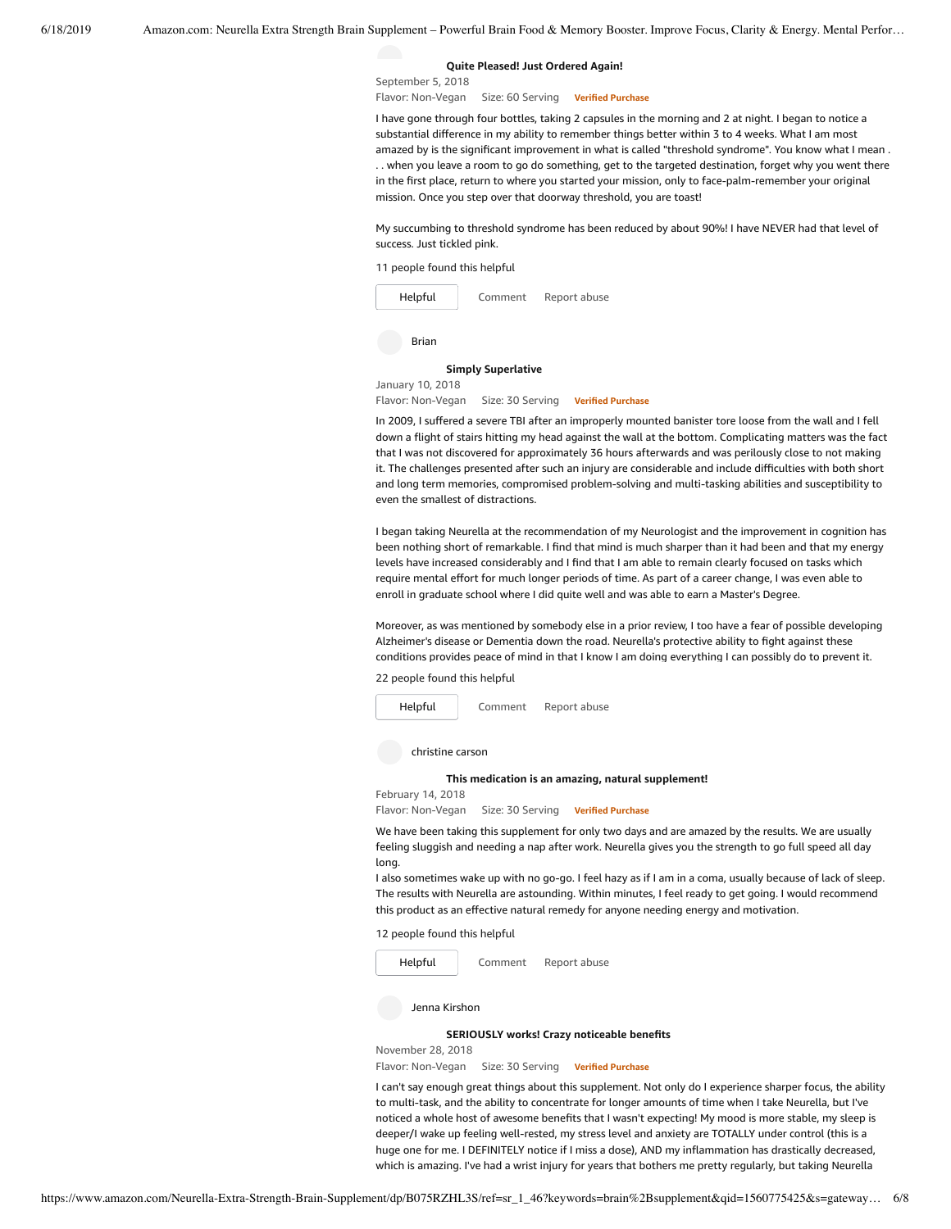#### **Quite [Pleased!](https://www.amazon.com/gp/customer-reviews/R34IA6Q4G631LN/ref=cm_cr_dp_d_rvw_ttl?ie=UTF8&ASIN=B075RZHL3S) Just Ordered Again!**

September 5, 2018 Flavor: Non-Vegan Size: 60 Serving **Verified Purchase**

I have gone through four bottles, taking 2 capsules in the morning and 2 at night. I began to notice a substantial difference in my ability to remember things better within 3 to 4 weeks. What I am most amazed by is the significant improvement in what is called "threshold syndrome". You know what I mean . . . when you leave a room to go do something, get to the targeted destination, forget why you went there in the first place, return to where you started your mission, only to face-palm-remember your original mission. Once you step over that doorway threshold, you are toast!

My succumbing to threshold syndrome has been reduced by about 90%! I have NEVER had that level of success. Just tickled pink.

11 people found this helpful



Brian

#### **Simply [Superlative](https://www.amazon.com/gp/customer-reviews/R1Q4BKD3RBZK3K/ref=cm_cr_dp_d_rvw_ttl?ie=UTF8&ASIN=B075RZHL3S)**

January 10, 2018

Flavor: Non-Vegan Size: 30 Serving **Verified Purchase**

In 2009, I suffered a severe TBI after an improperly mounted banister tore loose from the wall and I fell down a flight of stairs hitting my head against the wall at the bottom. Complicating matters was the fact that I was not discovered for approximately 36 hours afterwards and was perilously close to not making it. The challenges presented after such an injury are considerable and include difficulties with both short and long term memories, compromised problem-solving and multi-tasking abilities and susceptibility to even the smallest of distractions.

I began taking Neurella at the recommendation of my Neurologist and the improvement in cognition has been nothing short of remarkable. I find that mind is much sharper than it had been and that my energy levels have increased considerably and I find that I am able to remain clearly focused on tasks which require mental effort for much longer periods of time. As part of a career change, I was even able to enroll in graduate school where I did quite well and was able to earn a Master's Degree.

Moreover, as was mentioned by somebody else in a prior review, I too have a fear of possible developing Alzheimer's disease or Dementia down the road. Neurella's protective ability to fight against these conditions provides peace of mind in that I know I am doing everything I can possibly do to prevent it.

22 people found this helpful



christine carson

#### **This medication is an amazing, natural [supplement!](https://www.amazon.com/gp/customer-reviews/R1GZP9BFXX1Q46/ref=cm_cr_dp_d_rvw_ttl?ie=UTF8&ASIN=B075RZHL3S)**

February 14, 2018

Flavor: Non-Vegan Size: 30 Serving **Verified Purchase**

We have been taking this supplement for only two days and are amazed by the results. We are usually feeling sluggish and needing a nap after work. Neurella gives you the strength to go full speed all day long.

I also sometimes wake up with no go-go. I feel hazy as if I am in a coma, usually because of lack of sleep. The results with Neurella are astounding. Within minutes, I feel ready to get going. I would recommend this product as an effective natural remedy for anyone needing energy and motivation.

12 people found this helpful



#### **[SERIOUSLY](https://www.amazon.com/gp/customer-reviews/R2UELIJ23MPPBP/ref=cm_cr_dp_d_rvw_ttl?ie=UTF8&ASIN=B075RZHL3S) works! Crazy noticeable benefits**

November 28, 2018 Flavor: Non-Vegan Size: 30 Serving **Verified Purchase**

I can't say enough great things about this supplement. Not only do I experience sharper focus, the ability to multi-task, and the ability to concentrate for longer amounts of time when I take Neurella, but I've noticed a whole host of awesome benefits that I wasn't expecting! My mood is more stable, my sleep is deeper/I wake up feeling well-rested, my stress level and anxiety are TOTALLY under control (this is a huge one for me. I DEFINITELY notice if I miss a dose), AND my inflammation has drastically decreased, which is amazing. I've had a wrist injury for years that bothers me pretty regularly, but taking Neurella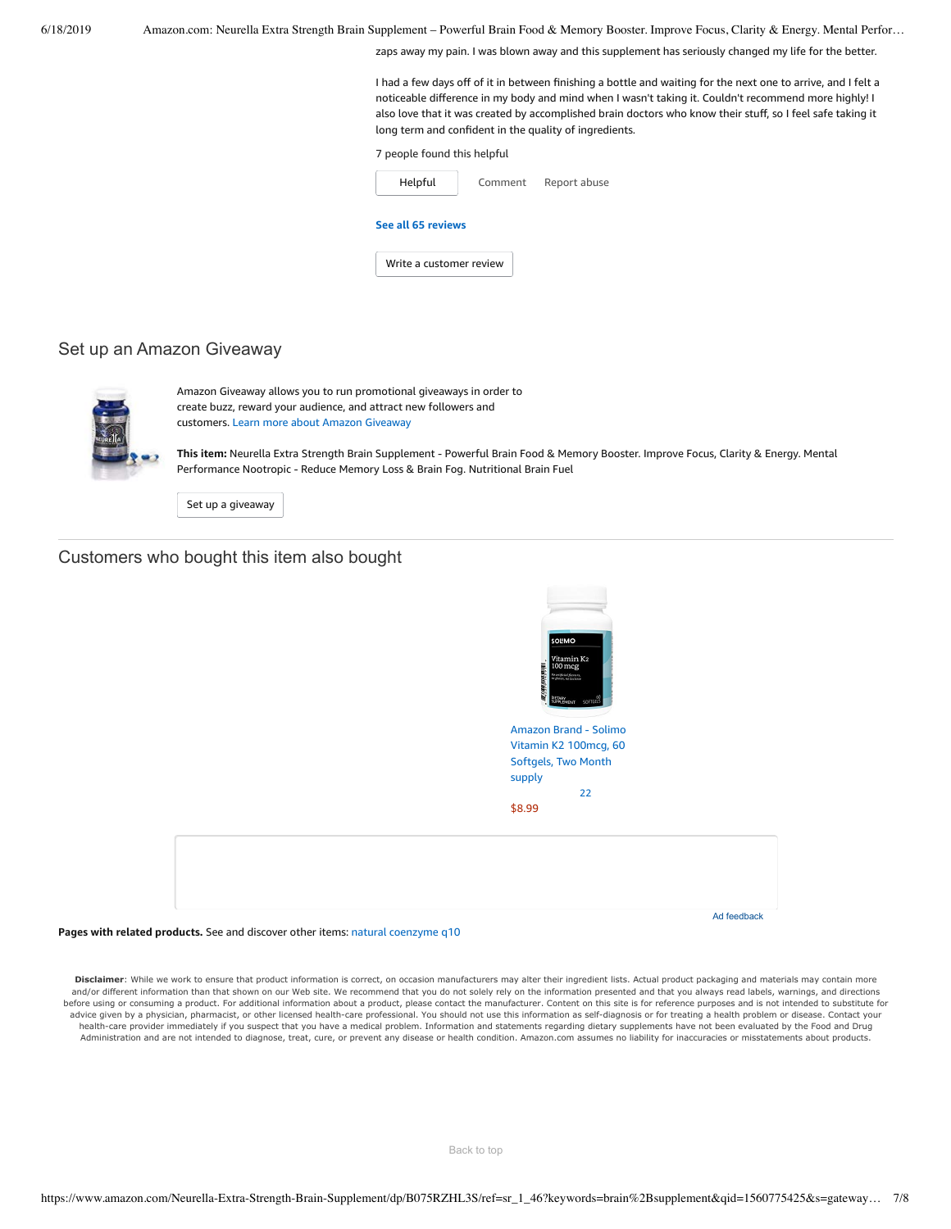zaps away my pain. I was blown away and this supplement has seriously changed my life for the better.

I had a few days off of it in between finishing a bottle and waiting for the next one to arrive, and I felt a noticeable difference in my body and mind when I wasn't taking it. Couldn't recommend more highly! I also love that it was created by accomplished brain doctors who know their stuff, so I feel safe taking it long term and confident in the quality of ingredients.

#### 7 people found this helpful

| Helpful                 | Comment | Report abuse |  |  |
|-------------------------|---------|--------------|--|--|
| See all 65 reviews      |         |              |  |  |
| Write a customer review |         |              |  |  |

### Set up an Amazon Giveaway



Amazon Giveaway allows you to run promotional giveaways in order to create buzz, reward your audience, and attract new followers and customers. Learn more about Amazon [Giveaway](https://www.amazon.com/gp/giveaway/home?ref=aga_dp_lm)

**This item:** Neurella Extra Strength Brain Supplement - Powerful Brain Food & Memory Booster. Improve Focus, Clarity & Energy. Mental Performance Nootropic - Reduce Memory Loss & Brain Fog. Nutritional Brain Fuel

Set up a [giveaway](https://www.amazon.com/giveaway/host/setup/ref=aga_h_su_dp?_encoding=UTF8&asin=B075RZHL3S)

# Customers who bought this item also bought



 $22$ 

[\\$8.99](https://www.amazon.com/Amazon-Brand-Solimo-Vitamin-Softgels/dp/B07CJNJ32N/ref=pd_sim_121_1/143-6729050-3493109?_encoding=UTF8&pd_rd_i=B07CJNJ32N&pd_rd_r=609b0744-91c8-11e9-87d9-8b31639319cd&pd_rd_w=jGFZu&pd_rd_wg=6VCPo&pf_rd_p=90485860-83e9-4fd9-b838-b28a9b7fda30&pf_rd_r=H45T2T56X8D8ETEJ60NK&psc=1&refRID=H45T2T56X8D8ETEJ60NK)

Ad feedback

**Pages with related products.** See and discover other items: natural [coenzyme](https://www.amazon.com/slp/natural-coenzyme-q10/45d7xfd5g6on692?_encoding=UTF8&ref_=fs_blw_d_clp_1) q10

Disclaimer: While we work to ensure that product information is correct, on occasion manufacturers may alter their ingredient lists. Actual product packaging and materials may contain more and/or different information than that shown on our Web site. We recommend that you do not solely rely on the information presented and that you always read labels, warnings, and directions before using or consuming a product. For additional information about a product, please contact the manufacturer. Content on this site is for reference purposes and is not intended to substitute for advice given by a physician, pharmacist, or other licensed health-care professional. You should not use this information as self-diagnosis or for treating a health problem or disease. Contact your health-care provider immediately if you suspect that you have a medical problem. Information and statements regarding dietary supplements have not been evaluated by the Food and Drug Administration and are not intended to diagnose, treat, cure, or prevent any disease or health condition. Amazon.com assumes no liability for inaccuracies or misstatements about products